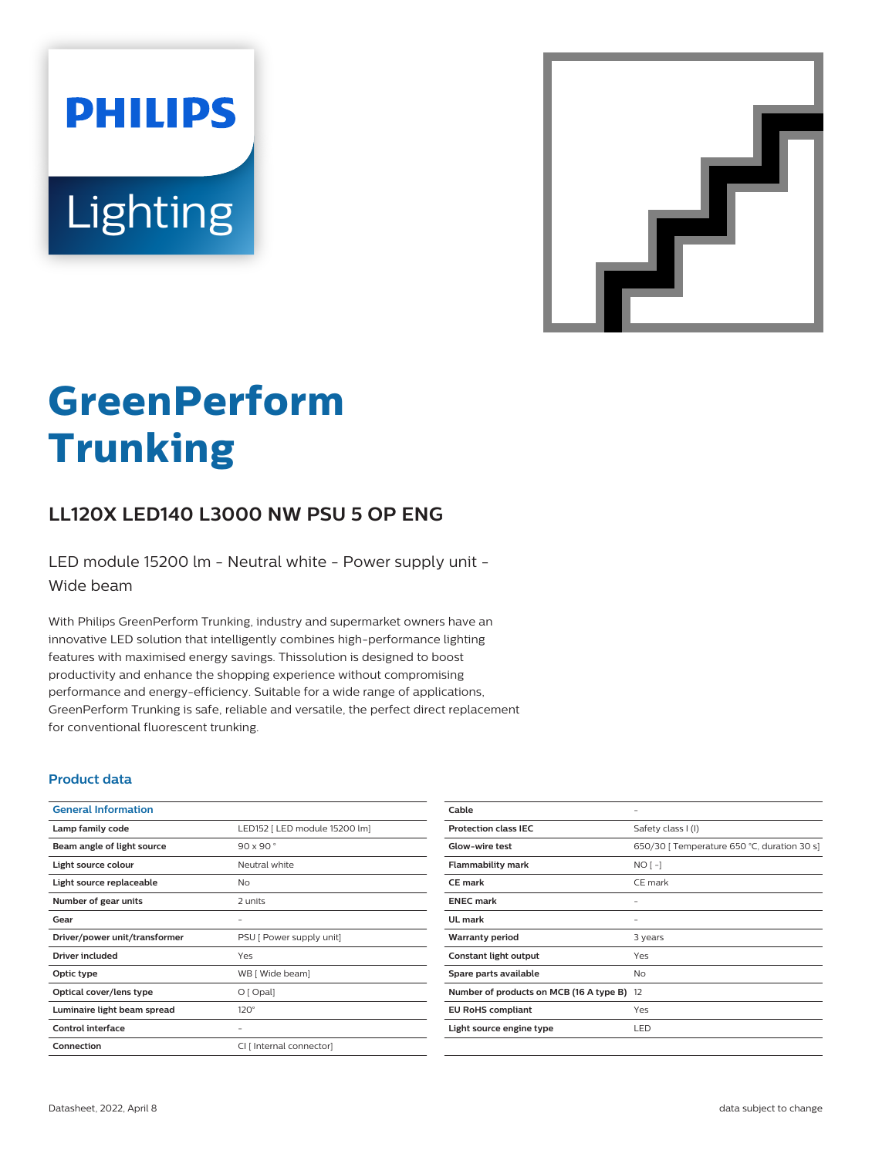# **PHILIPS** Lighting



## **GreenPerform Trunking**

### **LL120X LED140 L3000 NW PSU 5 OP ENG**

LED module 15200 lm - Neutral white - Power supply unit - Wide beam

With Philips GreenPerform Trunking, industry and supermarket owners have an innovative LED solution that intelligently combines high-performance lighting features with maximised energy savings. Thissolution is designed to boost productivity and enhance the shopping experience without compromising performance and energy-efficiency. Suitable for a wide range of applications, GreenPerform Trunking is safe, reliable and versatile, the perfect direct replacement for conventional fluorescent trunking.

#### **Product data**

| <b>General Information</b>    |                               |  |
|-------------------------------|-------------------------------|--|
| Lamp family code              | LED152   LED module 15200 lm] |  |
| Beam angle of light source    | $90 \times 90$ °              |  |
| Light source colour           | Neutral white                 |  |
| Light source replaceable      | <b>No</b>                     |  |
| Number of gear units          | 2 units                       |  |
| Gear                          | -                             |  |
| Driver/power unit/transformer | PSU [ Power supply unit]      |  |
| Driver included               | Yes                           |  |
| Optic type                    | WB [ Wide beam]               |  |
| Optical cover/lens type       | $O$ [ Opal]                   |  |
| Luminaire light beam spread   | $120^\circ$                   |  |
| Control interface             |                               |  |
| Connection                    | CI [ Internal connector]      |  |

| Cable                                      |                                             |
|--------------------------------------------|---------------------------------------------|
| <b>Protection class IEC</b>                | Safety class I (I)                          |
| Glow-wire test                             | 650/30   Temperature 650 °C, duration 30 s] |
| <b>Flammability mark</b>                   | $NO[-]$                                     |
| <b>CE</b> mark                             | CE mark                                     |
| <b>ENEC</b> mark                           | -                                           |
| UL mark                                    | -                                           |
| <b>Warranty period</b>                     | 3 years                                     |
| Constant light output                      | Yes                                         |
| Spare parts available                      | <b>No</b>                                   |
| Number of products on MCB (16 A type B) 12 |                                             |
| <b>EU RoHS compliant</b>                   | Yes                                         |
| Light source engine type                   | LED                                         |
|                                            |                                             |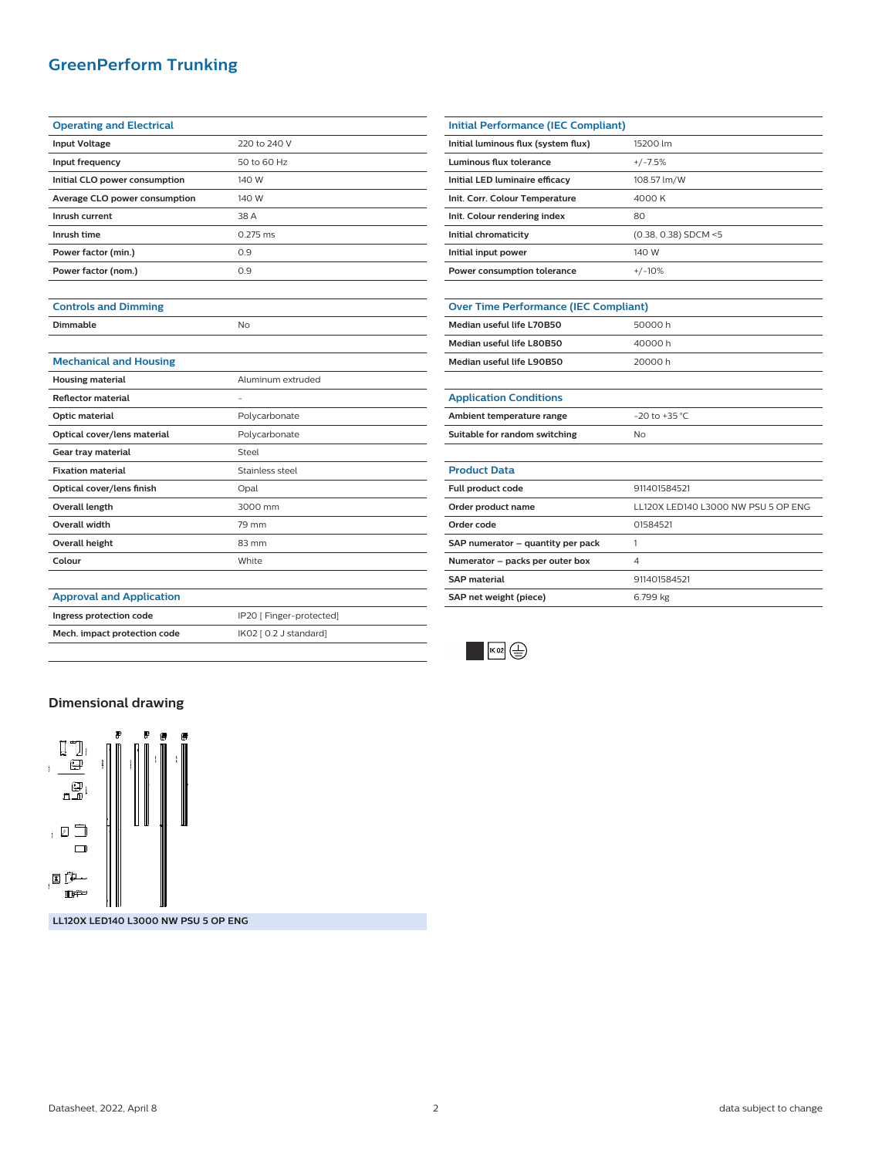#### **GreenPerform Trunking**

| <b>Operating and Electrical</b> |              |
|---------------------------------|--------------|
| <b>Input Voltage</b>            | 220 to 240 V |
| Input frequency                 | 50 to 60 Hz  |
| Initial CLO power consumption   | 140 W        |
| Average CLO power consumption   | 140 W        |
| Inrush current                  | 38 A         |
| Inrush time                     | $0.275$ ms   |
| Power factor (min.)             | 0.9          |
| Power factor (nom.)             | 0.9          |
|                                 |              |

|  | <b>Controls and Dimming</b> |
|--|-----------------------------|
|  |                             |

| Dimmable                        | <b>No</b>                |  |
|---------------------------------|--------------------------|--|
|                                 |                          |  |
| <b>Mechanical and Housing</b>   |                          |  |
| <b>Housing material</b>         | Aluminum extruded        |  |
| <b>Reflector material</b>       | ۰                        |  |
| Optic material                  | Polycarbonate            |  |
| Optical cover/lens material     | Polycarbonate            |  |
| Gear tray material              | Steel                    |  |
| <b>Fixation material</b>        | Stainless steel          |  |
| Optical cover/lens finish       | Opal                     |  |
| Overall length                  | 3000 mm                  |  |
| Overall width                   | 79 mm                    |  |
| Overall height                  | 83 mm                    |  |
| Colour                          | White                    |  |
|                                 |                          |  |
| <b>Approval and Application</b> |                          |  |
| Ingress protection code         | IP20 [ Finger-protected] |  |
| Mech. impact protection code    | IK02 [ 0.2 J standard]   |  |

| Initial Performance (IEC Compliant)          |                                     |  |
|----------------------------------------------|-------------------------------------|--|
| Initial luminous flux (system flux)          | 15200 lm                            |  |
| Luminous flux tolerance                      | $+/-7.5%$                           |  |
| Initial LED luminaire efficacy               | 108.57 lm/W                         |  |
| Init. Corr. Colour Temperature               | 4000 K                              |  |
| Init. Colour rendering index                 | 80                                  |  |
| Initial chromaticity                         | (0.38, 0.38) SDCM <5                |  |
| Initial input power                          | 140 W                               |  |
| Power consumption tolerance                  | $+/-10%$                            |  |
|                                              |                                     |  |
| <b>Over Time Performance (IEC Compliant)</b> |                                     |  |
| Median useful life L70B50                    | 50000h                              |  |
| Median useful life L80B50                    | 40000h                              |  |
| Median useful life L90B50                    | 20000h                              |  |
|                                              |                                     |  |
| <b>Application Conditions</b>                |                                     |  |
| Ambient temperature range                    | $-20$ to $+35$ °C                   |  |
| Suitable for random switching                | No                                  |  |
|                                              |                                     |  |
| <b>Product Data</b>                          |                                     |  |
| Full product code                            | 911401584521                        |  |
| Order product name                           | LL120X LED140 L3000 NW PSU 5 OP ENG |  |
| Order code                                   | 01584521                            |  |
| SAP numerator - quantity per pack            | 1                                   |  |
| Numerator - packs per outer box              | 4                                   |  |
| <b>SAP</b> material                          | 911401584521                        |  |
| SAP net weight (piece)                       | 6.799 kg                            |  |



#### **Dimensional drawing**